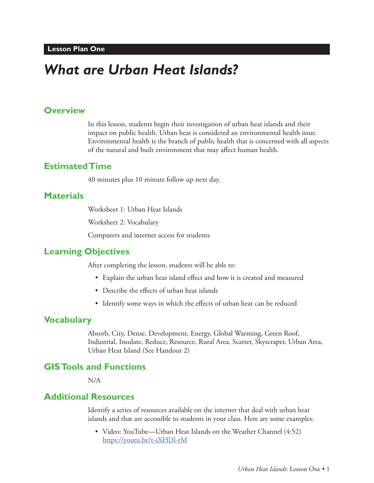# *What are Urban Heat Islands?*

#### **Overview**

In this lesson, students begin their investigation of urban heat islands and their impact on public health. Urban heat is considered an environmental health issue. Environmental health is the branch of public health that is concerned with all aspects of the natural and built environment that may affect human health.

#### **Estimated Time**

40 minutes plus 10 minute follow up next day.

## **Materials**

Worksheet 1: Urban Heat Islands

Worksheet 2: Vocabulary

Computers and internet access for students

#### **Learning Objectives**

After completing the lesson, students will be able to:

- Explain the urban heat island effect and how it is created and measured
- Describe the effects of urban heat islands
- Identify some ways in which the effects of urban heat can be reduced

## **Vocabulary**

Absorb, City, Dense, Development, Energy, Global Warming, Green Roof, Industrial, Insulate, Reduce, Resource, Rural Area, Scatter, Skyscraper, Urban Area, Urban Heat Island (See Handout 2)

### **GIS Tools and Functions**

N/A

#### **Additional Resources**

Identify a series of resources available on the internet that deal with urban heat islands and that are accessible to students in your class. Here are some examples:

• Video: YouTube—Urban Heat Islands on the Weather Channel (4:52) https://youtu.be/t-sXHl3l-rM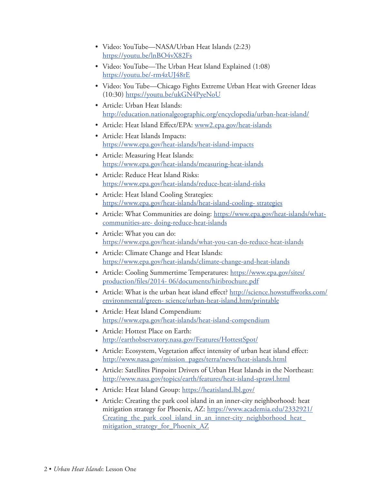- Video: YouTube—NASA/Urban Heat Islands (2:23) https://youtu.be/lnBO4vX82Fs
- Video: YouTube—The Urban Heat Island Explained (1:08) https://youtu.be/-rm4zUJ48rE
- Video: You Tube—Chicago Fights Extreme Urban Heat with Greener Ideas (10:30) https://youtu.be/ukGN4PyeNoU
- Article: Urban Heat Islands: http://education.nationalgeographic.org/encyclopedia/urban-heat-island/
- Article: Heat Island Effect/EPA: www2.epa.gov/heat-islands
- Article: Heat Islands Impacts: https://www.epa.gov/heat-islands/heat-island-impacts
- Article: Measuring Heat Islands: https://www.epa.gov/heat-islands/measuring-heat-islands
- Article: Reduce Heat Island Risks: https://www.epa.gov/heat-islands/reduce-heat-island-risks
- Article: Heat Island Cooling Strategies: https://www.epa.gov/heat-islands/heat-island-cooling- strategies
- Article: What Communities are doing: https://www.epa.gov/heat-islands/whatcommunities-are- doing-reduce-heat-islands
- Article: What you can do: https://www.epa.gov/heat-islands/what-you-can-do-reduce-heat-islands
- Article: Climate Change and Heat Islands: https://www.epa.gov/heat-islands/climate-change-and-heat-islands
- Article: Cooling Summertime Temperatures: https://www.epa.gov/sites/ production/files/2014- 06/documents/hiribrochure.pdf
- Article: What is the urban heat island effect? http://science.howstuffworks.com/ environmental/green- science/urban-heat-island.htm/printable
- Article: Heat Island Compendium: https://www.epa.gov/heat-islands/heat-island-compendium
- Article: Hottest Place on Earth: http://earthobservatory.nasa.gov/Features/HottestSpot/
- Article: Ecosystem, Vegetation affect intensity of urban heat island effect: http://www.nasa.gov/mission\_pages/terra/news/heat-islands.html
- Article: Satellites Pinpoint Drivers of Urban Heat Islands in the Northeast: http://www.nasa.gov/topics/earth/features/heat-island-sprawl.html
- Article: Heat Island Group: https://heatisland.lbl.gov/
- Article: Creating the park cool island in an inner-city neighborhood: heat mitigation strategy for Phoenix, AZ: https://www.academia.edu/2332921/ Creating the park cool island in an inner-city neighborhood heat mitigation strategy for Phoenix AZ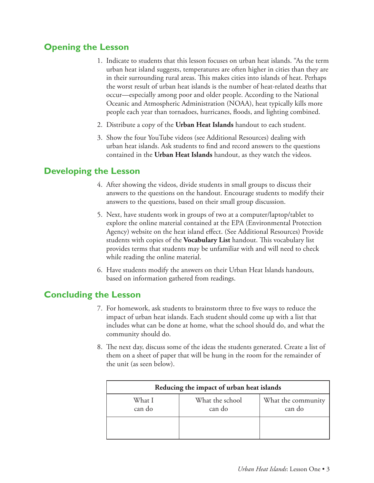# **Opening the Lesson**

- 1. Indicate to students that this lesson focuses on urban heat islands. "As the term urban heat island suggests, temperatures are often higher in cities than they are in their surrounding rural areas. This makes cities into islands of heat. Perhaps the worst result of urban heat islands is the number of heat-related deaths that occur—especially among poor and older people. According to the National Oceanic and Atmospheric Administration (NOAA), heat typically kills more people each year than tornadoes, hurricanes, floods, and lighting combined.
- 2. Distribute a copy of the **Urban Heat Islands** handout to each student.
- 3. Show the four YouTube videos (see Additional Resources) dealing with urban heat islands. Ask students to find and record answers to the questions contained in the **Urban Heat Islands** handout, as they watch the videos.

## **Developing the Lesson**

- 4. After showing the videos, divide students in small groups to discuss their answers to the questions on the handout. Encourage students to modify their answers to the questions, based on their small group discussion.
- 5. Next, have students work in groups of two at a computer/laptop/tablet to explore the online material contained at the EPA (Environmental Protection Agency) website on the heat island effect. (See Additional Resources) Provide students with copies of the **Vocabulary List** handout. This vocabulary list provides terms that students may be unfamiliar with and will need to check while reading the online material.
- 6. Have students modify the answers on their Urban Heat Islands handouts, based on information gathered from readings.

## **Concluding the Lesson**

- 7. For homework, ask students to brainstorm three to five ways to reduce the impact of urban heat islands. Each student should come up with a list that includes what can be done at home, what the school should do, and what the community should do.
- 8. The next day, discuss some of the ideas the students generated. Create a list of them on a sheet of paper that will be hung in the room for the remainder of the unit (as seen below).

| Reducing the impact of urban heat islands |                           |                              |
|-------------------------------------------|---------------------------|------------------------------|
| What I<br>can do                          | What the school<br>can do | What the community<br>can do |
|                                           |                           |                              |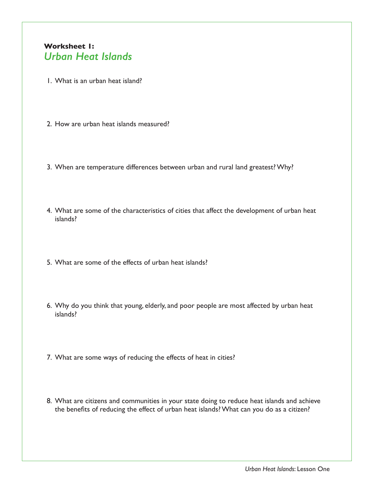## **Worksheet 1:** *Urban Heat Islands*

- 1. What is an urban heat island?
- 2. How are urban heat islands measured?
- 3. When are temperature differences between urban and rural land greatest? Why?
- 4. What are some of the characteristics of cities that affect the development of urban heat islands?
- 5. What are some of the effects of urban heat islands?
- 6. Why do you think that young, elderly, and poor people are most affected by urban heat islands?
- 7. What are some ways of reducing the effects of heat in cities?
- 8. What are citizens and communities in your state doing to reduce heat islands and achieve the benefits of reducing the effect of urban heat islands? What can you do as a citizen?